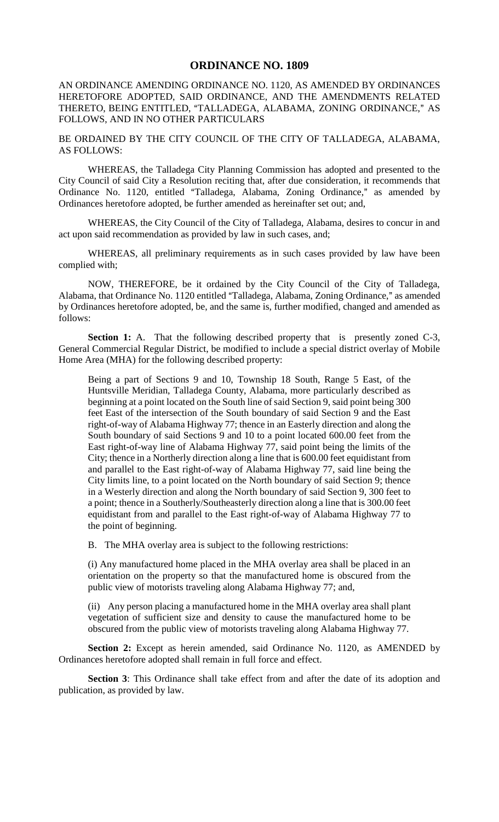## **ORDINANCE NO. 1809**

AN ORDINANCE AMENDING ORDINANCE NO. 1120, AS AMENDED BY ORDINANCES HERETOFORE ADOPTED, SAID ORDINANCE, AND THE AMENDMENTS RELATED THERETO, BEING ENTITLED, "TALLADEGA, ALABAMA, ZONING ORDINANCE," AS FOLLOWS, AND IN NO OTHER PARTICULARS

BE ORDAINED BY THE CITY COUNCIL OF THE CITY OF TALLADEGA, ALABAMA, AS FOLLOWS:

WHEREAS, the Talladega City Planning Commission has adopted and presented to the City Council of said City a Resolution reciting that, after due consideration, it recommends that Ordinance No. 1120, entitled "Talladega, Alabama, Zoning Ordinance," as amended by Ordinances heretofore adopted, be further amended as hereinafter set out; and,

WHEREAS, the City Council of the City of Talladega, Alabama, desires to concur in and act upon said recommendation as provided by law in such cases, and;

WHEREAS, all preliminary requirements as in such cases provided by law have been complied with;

NOW, THEREFORE, be it ordained by the City Council of the City of Talladega, Alabama, that Ordinance No. 1120 entitled "Talladega, Alabama, Zoning Ordinance," as amended by Ordinances heretofore adopted, be, and the same is, further modified, changed and amended as follows:

**Section 1:** A. That the following described property that is presently zoned C-3, General Commercial Regular District, be modified to include a special district overlay of Mobile Home Area (MHA) for the following described property:

Being a part of Sections 9 and 10, Township 18 South, Range 5 East, of the Huntsville Meridian, Talladega County, Alabama, more particularly described as beginning at a point located on the South line of said Section 9, said point being 300 feet East of the intersection of the South boundary of said Section 9 and the East right-of-way of Alabama Highway 77; thence in an Easterly direction and along the South boundary of said Sections 9 and 10 to a point located 600.00 feet from the East right-of-way line of Alabama Highway 77, said point being the limits of the City; thence in a Northerly direction along a line that is 600.00 feet equidistant from and parallel to the East right-of-way of Alabama Highway 77, said line being the City limits line, to a point located on the North boundary of said Section 9; thence in a Westerly direction and along the North boundary of said Section 9, 300 feet to a point; thence in a Southerly/Southeasterly direction along a line that is 300.00 feet equidistant from and parallel to the East right-of-way of Alabama Highway 77 to the point of beginning.

B. The MHA overlay area is subject to the following restrictions:

(i) Any manufactured home placed in the MHA overlay area shall be placed in an orientation on the property so that the manufactured home is obscured from the public view of motorists traveling along Alabama Highway 77; and,

(ii) Any person placing a manufactured home in the MHA overlay area shall plant vegetation of sufficient size and density to cause the manufactured home to be obscured from the public view of motorists traveling along Alabama Highway 77.

**Section 2:** Except as herein amended, said Ordinance No. 1120, as AMENDED by Ordinances heretofore adopted shall remain in full force and effect.

**Section 3**: This Ordinance shall take effect from and after the date of its adoption and publication, as provided by law.